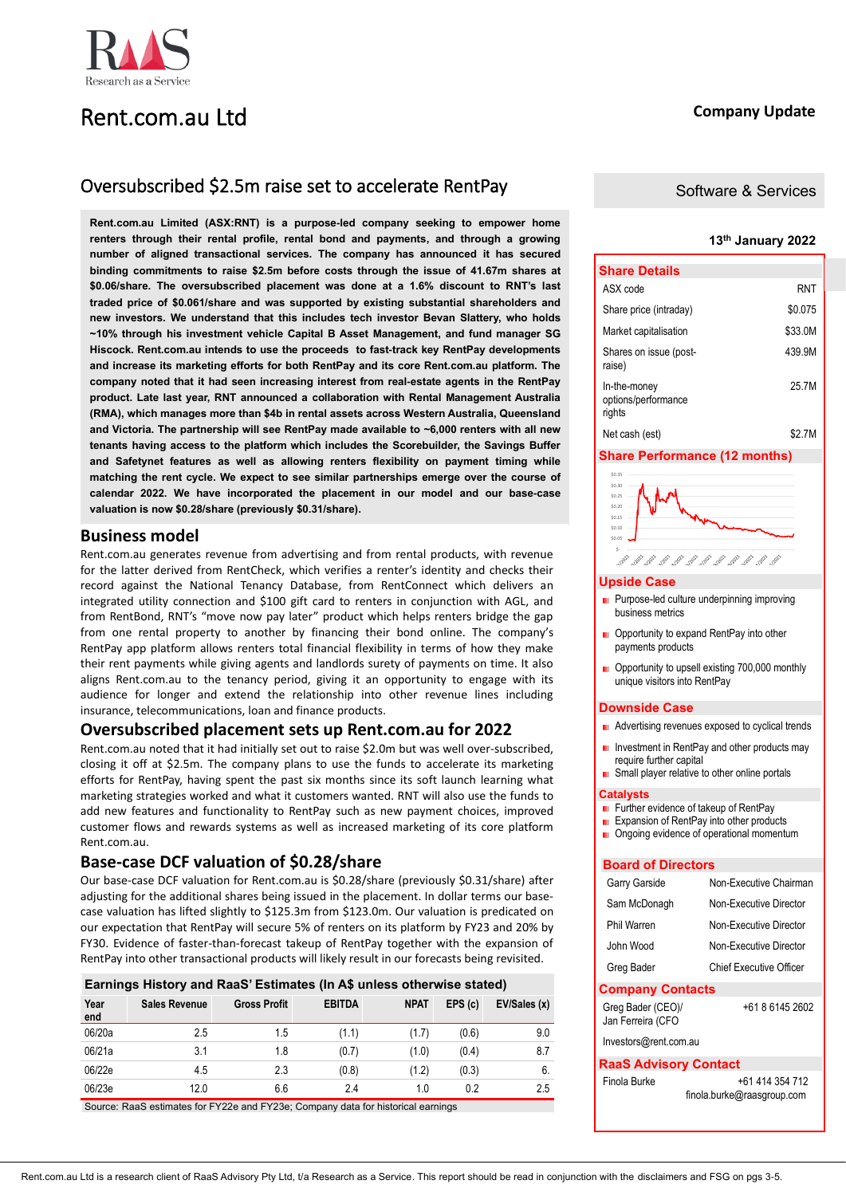## Rent.com.au Ltd

## Oversubscribed \$2.5m raise set to accelerate RentPay

**Rent.com.au Limited (ASX:RNT) is a purpose-led company seeking to empower home renters through their rental profile, rental bond and payments, and through a growing number of aligned transactional services. The company has announced it has secured binding commitments to raise \$2.5m before costs through the issue of 41.67m shares at \$0.06/share. The oversubscribed placement was done at a 1.6% discount to RNT's last traded price of \$0.061/share and was supported by existing substantial shareholders and new investors. We understand that this includes tech investor Bevan Slattery, who holds ~10% through his investment vehicle Capital B Asset Management, and fund manager SG Hiscock. Rent.com.au intends to use the proceeds to fast-track key RentPay developments and increase its marketing efforts for both RentPay and its core Rent.com.au platform. The company noted that it had seen increasing interest from real-estate agents in the RentPay product. Late last year, RNT announced a collaboration with Rental Management Australia (RMA), which manages more than \$4b in rental assets across Western Australia, Queensland and Victoria. The partnership will see RentPay made available to ~6,000 renters with all new tenants having access to the platform which includes the Scorebuilder, the Savings Buffer and Safetynet features as well as allowing renters flexibility on payment timing while matching the rent cycle. We expect to see similar partnerships emerge over the course of calendar 2022. We have incorporated the placement in our model and our base-case valuation is now \$0.28/share (previously \$0.31/share).**

## **Business model**

Rent.com.au generates revenue from advertising and from rental products, with revenue for the latter derived from RentCheck, which verifies a renter's identity and checks their record against the National Tenancy Database, from RentConnect which delivers an integrated utility connection and \$100 gift card to renters in conjunction with AGL, and from RentBond, RNT's "move now pay later" product which helps renters bridge the gap from one rental property to another by financing their bond online. The company's RentPay app platform allows renters total financial flexibility in terms of how they make their rent payments while giving agents and landlords surety of payments on time. It also aligns Rent.com.au to the tenancy period, giving it an opportunity to engage with its audience for longer and extend the relationship into other revenue lines including insurance, telecommunications, loan and finance products.

## **Oversubscribed placement sets up Rent.com.au for 2022**

Rent.com.au noted that it had initially set out to raise \$2.0m but was well over-subscribed, closing it off at \$2.5m. The company plans to use the funds to accelerate its marketing efforts for RentPay, having spent the past six months since its soft launch learning what marketing strategies worked and what it customers wanted. RNT will also use the funds to add new features and functionality to RentPay such as new payment choices, improved customer flows and rewards systems as well as increased marketing of its core platform Rent.com.au.

## **Base-case DCF valuation of \$0.28/share**

Our base-case DCF valuation for Rent.com.au is \$0.28/share (previously \$0.31/share) after adjusting for the additional shares being issued in the placement. In dollar terms our basecase valuation has lifted slightly to \$125.3m from \$123.0m. Our valuation is predicated on our expectation that RentPay will secure 5% of renters on its platform by FY23 and 20% by FY30. Evidence of faster-than-forecast takeup of RentPay together with the expansion of RentPay into other transactional products will likely result in our forecasts being revisited.

|             | Earnings History and RaaS' Estimates (In A\$ unless otherwise stated) |                     |               |             |        |              |
|-------------|-----------------------------------------------------------------------|---------------------|---------------|-------------|--------|--------------|
| Year<br>end | <b>Sales Revenue</b>                                                  | <b>Gross Profit</b> | <b>EBITDA</b> | <b>NPAT</b> | EPS(c) | EV/Sales (x) |
| 06/20a      | 2.5                                                                   | 1.5                 | (1.1)         | (1.7)       | (0.6)  | 9.0          |
| 06/21a      | 3.1                                                                   | 1.8                 | (0.7)         | (1.0)       | (0.4)  | 8.7          |
| 06/22e      | 4.5                                                                   | 2.3                 | (0.8)         | (1.2)       | (0.3)  | 6.           |
| 06/23e      | 12.0                                                                  | 6.6                 | 2.4           | 1.0         | 0.2    | 2.5          |

Source: RaaS estimates for FY22e and FY23e; Company data for historical earnings

## **Company Update**

## Software & Services

## **13th January 2022**

| <b>Share Details</b>                          |         |
|-----------------------------------------------|---------|
| ASX code                                      | RNT     |
| Share price (intraday)                        | \$0.075 |
| Market capitalisation                         | \$33.0M |
| Shares on issue (post-<br>raise)              | 439.9M  |
| In-the-money<br>options/performance<br>rights | 25 7 M  |
| Net cash (est)                                | \$2.7M  |

## **Share Performance (12 months)**



### **Upside Case**

- Purpose-led culture underpinning improving business metrics
- Opportunity to expand RentPay into other payments products
- Opportunity to upsell existing 700,000 monthly unique visitors into RentPay

### **Downside Case**

- **Advertising revenues exposed to cyclical trends**
- Investment in RentPay and other products may m. require further capital
- Small player relative to other online portals

## **Catalysts**

- Further evidence of takeup of RentPay
- Expansion of RentPay into other products
- **Demonstrational momentum**

## **Board of Directors**

| <b>Company Contacts</b> |                                |
|-------------------------|--------------------------------|
| Greg Bader              | <b>Chief Executive Officer</b> |
| John Wood               | Non-Executive Director         |
| Phil Warren             | Non-Executive Director         |
| Sam McDonagh            | Non-Executive Director         |
| Garry Garside           | Non-Executive Chairman         |

+61 8 6145 2602

Jan Ferreira (CFO Investors@rent.com.au

Greg Bader (CEO)/

## **RaaS Advisory Contact**

| Finola Burke | +61 414 354 712            |
|--------------|----------------------------|
|              | finola.burke@raasgroup.com |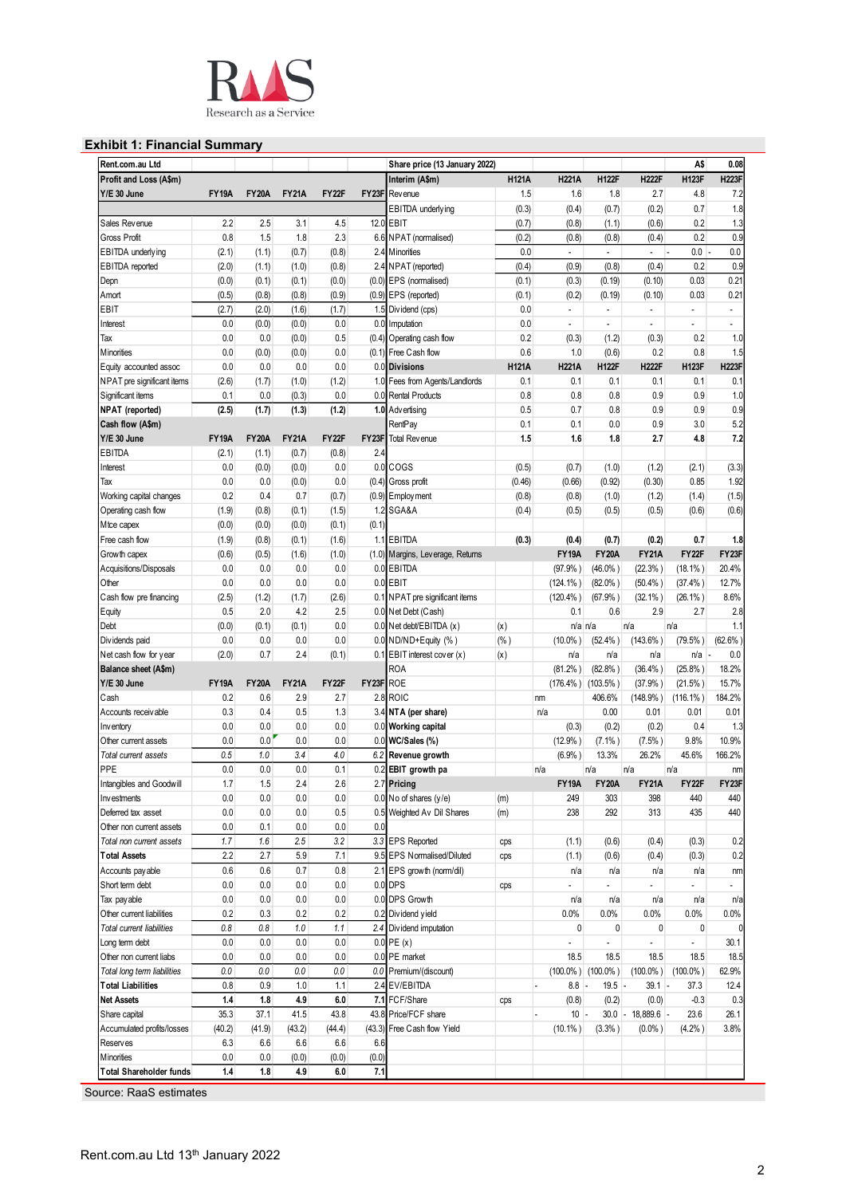

## **Exhibit 1: Financial Summary**

| Rent.com.au Ltd                                                                     |              |              |              |              |              | Share price (13 January 2022)    |              |                          |                          |                   | A\$                      | 0.08                     |
|-------------------------------------------------------------------------------------|--------------|--------------|--------------|--------------|--------------|----------------------------------|--------------|--------------------------|--------------------------|-------------------|--------------------------|--------------------------|
| Profit and Loss (A\$m)                                                              |              |              |              |              |              | Interim (A\$m)                   | <b>H121A</b> | <b>H221A</b>             | <b>H122F</b>             | <b>H222F</b>      | <b>H123F</b>             | <b>H223F</b>             |
| Y/E 30 June                                                                         | <b>FY19A</b> | <b>FY20A</b> | <b>FY21A</b> | <b>FY22F</b> | FY23F        | Rev enue                         | 1.5          | 1.6                      | 1.8                      | 2.7               | 4.8                      | 7.2                      |
|                                                                                     |              |              |              |              |              | EBITDA underlying                | (0.3)        | (0.4)                    | (0.7)                    | (0.2)             | 0.7                      | 1.8                      |
| Sales Revenue                                                                       | 2.2          | 2.5          | 3.1          | 4.5          |              | 12.0 EBIT                        | (0.7)        | (0.8)                    | (1.1)                    | (0.6)             | 0.2                      | 1.3                      |
| <b>Gross Profit</b>                                                                 | 0.8          | 1.5          | 1.8          | 2.3          |              | 6.6 NPAT (normalised)            | (0.2)        | (0.8)                    | (0.8)                    | (0.4)             | 0.2                      | 0.9                      |
| EBITDA underlying                                                                   | (2.1)        | (1.1)        | (0.7)        | (0.8)        | 2.4          | <b>M</b> inorities               | 0.0          | $\blacksquare$           | $\overline{\phantom{a}}$ | $\sim$ $\sim$     | $0.0 -$                  | 0.0                      |
|                                                                                     |              |              |              |              |              |                                  |              |                          |                          |                   |                          |                          |
| <b>EBITDA</b> reported                                                              | (2.0)        | (1.1)        | (1.0)        | (0.8)        |              | 2.4 NPAT (reported)              | (0.4)        | (0.9)                    | (0.8)                    | (0.4)             | 0.2                      | 0.9                      |
| Depn                                                                                | (0.0)        | (0.1)        | (0.1)        | (0.0)        |              | (0.0) EPS (normalised)           | (0.1)        | (0.3)                    | (0.19)                   | (0.10)            | 0.03                     | 0.21                     |
| Amort                                                                               | (0.5)        | (0.8)        | (0.8)        | (0.9)        |              | (0.9) EPS (reported)             | (0.1)        | (0.2)                    | (0.19)                   | (0.10)            | 0.03                     | 0.21                     |
| EBIT                                                                                | (2.7)        | (2.0)        | (1.6)        | (1.7)        | 1.5          | Dividend (cps)                   | 0.0          | $\overline{\phantom{a}}$ | $\overline{a}$           | $\overline{a}$    | $\frac{1}{2}$            | $\overline{\phantom{a}}$ |
| Interest                                                                            | 0.0          | (0.0)        | (0.0)        | 0.0          | 0.0          | Imputation                       | 0.0          | $\overline{\phantom{a}}$ | $\overline{a}$           | $\overline{a}$    | $\overline{\phantom{a}}$ | $\overline{\phantom{a}}$ |
| Tax                                                                                 | 0.0          | 0.0          | (0.0)        | 0.5          | (0.4)        | Operating cash flow              | 0.2          | (0.3)                    | (1.2)                    | (0.3)             | 0.2                      | 1.0                      |
| Minorities                                                                          | 0.0          | (0.0)        | (0.0)        | 0.0          |              | (0.1) Free Cash flow             | 0.6          | 1.0                      | (0.6)                    | 0.2               | 0.8                      | 1.5                      |
| Equity accounted assoc                                                              | 0.0          | 0.0          | 0.0          | 0.0          |              | 0.0 Divisions                    | <b>H121A</b> | <b>H221A</b>             | <b>H122F</b>             | <b>H222F</b>      | <b>H123F</b>             | <b>H223F</b>             |
| NPAT pre significant items                                                          | (2.6)        | (1.7)        | (1.0)        | (1.2)        | 1.0          | Fees from Agents/Landlords       | 0.1          | 0.1                      | 0.1                      | 0.1               | 0.1                      | 0.1                      |
|                                                                                     |              |              |              |              |              |                                  |              |                          |                          |                   |                          |                          |
| Significant items                                                                   | 0.1          | 0.0          | (0.3)        | 0.0          | 0.0          | <b>Rental Products</b>           | 0.8          | 0.8                      | 0.8                      | 0.9               | 0.9                      | 1.0                      |
| <b>NPAT</b> (reported)                                                              | (2.5)        | (1.7)        | (1.3)        | (1.2)        |              | 1.0 Advertising                  | 0.5          | 0.7                      | 0.8                      | 0.9               | 0.9                      | 0.9                      |
| Cash flow (A\$m)                                                                    |              |              |              |              |              | RentPay                          | 0.1          | 0.1                      | 0.0                      | 0.9               | 3.0                      | 5.2                      |
| Y/E 30 June                                                                         | <b>FY19A</b> | <b>FY20A</b> | <b>FY21A</b> | FY22F        | FY23F        | <b>Total Revenue</b>             | 1.5          | 1.6                      | 1.8                      | 2.7               | 4.8                      | 7.2                      |
| EBITDA                                                                              | (2.1)        | (1.1)        | (0.7)        | (0.8)        | 2.4          |                                  |              |                          |                          |                   |                          |                          |
| Interest                                                                            | 0.0          | (0.0)        | (0.0)        | 0.0          | 0.0          | COGS                             | (0.5)        | (0.7)                    | (1.0)                    | (1.2)             | (2.1)                    | (3.3)                    |
| Tax                                                                                 | 0.0          | 0.0          | (0.0)        | 0.0          | (0.4)        | Gross profit                     | (0.46)       | (0.66)                   | (0.92)                   | (0.30)            | 0.85                     | 1.92                     |
| Working capital changes                                                             | 0.2          | 0.4          | 0.7          | (0.7)        |              | $(0.9)$ Employment               | (0.8)        | (0.8)                    | (1.0)                    | (1.2)             | (1.4)                    | (1.5)                    |
| Operating cash flow                                                                 | (1.9)        | (0.8)        | (0.1)        | (1.5)        | 1.2          | SGA&A                            | (0.4)        | (0.5)                    | (0.5)                    | (0.5)             | (0.6)                    | (0.6)                    |
|                                                                                     |              |              |              |              |              |                                  |              |                          |                          |                   |                          |                          |
| Mtce capex                                                                          | (0.0)        | (0.0)        | (0.0)        | (0.1)        | (0.1)        |                                  |              |                          |                          |                   |                          |                          |
| Free cash flow                                                                      | (1.9)        | (0.8)        | (0.1)        | (1.6)        |              | 1.1 EBITDA                       | (0.3)        | (0.4)                    | (0.7)                    | (0.2)             | 0.7                      | 1.8                      |
| Growth capex                                                                        | (0.6)        | (0.5)        | (1.6)        | (1.0)        |              | (1.0) Margins, Leverage, Returns |              | <b>FY19A</b>             | <b>FY20A</b>             | <b>FY21A</b>      | FY22F                    | FY23F                    |
| Acquisitions/Disposals                                                              | 0.0          | 0.0          | 0.0          | 0.0          |              | 0.0 EBITDA                       |              | (97.9% )                 | $(46.0\%)$               | $(22.3\%)$        | $(18.1\%)$               | 20.4%                    |
| Other                                                                               | 0.0          | 0.0          | 0.0          | 0.0          | 0.0          | <b>EBIT</b>                      |              | $(124.1\%)$              | $(82.0\%$ )              | (50.4% )          | (37.4% )                 | 12.7%                    |
| Cash flow pre financing                                                             | (2.5)        | (1.2)        | (1.7)        | (2.6)        |              | 0.1 NPAT pre significant items   |              | $(120.4\%)$              | (67.9% )                 | $(32.1\%)$        | $(26.1\%)$               | 8.6%                     |
| Equity                                                                              | 0.5          | 2.0          | 4.2          | 2.5          |              | 0.0 Net Debt (Cash)              |              | 0.1                      | 0.6                      | 2.9               | 2.7                      | 2.8                      |
| Debt                                                                                | (0.0)        | (0.1)        | (0.1)        | 0.0          |              | 0.0 Net debt/EBITDA (x)          | (x)          |                          | n/a n/a                  | n/a               | n/a                      | 1.1                      |
| Dividends paid                                                                      | 0.0          | 0.0          | 0.0          | 0.0          |              | $0.0$ ND/ND+Equity (%)           | (% )         | $(10.0\%$ )              | $(52.4\%)$               | $(143.6\%)$       | $(79.5\%)$               | (62.6%                   |
|                                                                                     |              |              |              |              |              |                                  |              |                          |                          |                   |                          |                          |
| Net cash flow for year                                                              | (2.0)        | 0.7          | 2.4          | (0.1)        |              | $0.1$ EBIT interest cover $(x)$  | (x)          | n/a                      | n/a                      | n/a               | n/a                      | 0.0                      |
| Balance sheet (A\$m)                                                                |              |              |              |              |              | <b>ROA</b>                       |              | (81.2%)                  | (82.8%)                  | (36.4%)           | (25.8%)                  | 18.2%                    |
| Y/E 30 June                                                                         | <b>FY19A</b> | <b>FY20A</b> | <b>FY21A</b> | <b>FY22F</b> | FY23F ROE    |                                  |              | $(176.4\%)$              | $(103.5\%)$              | (37.9% )          | $(21.5\%)$               | 15.7%                    |
| Cash                                                                                | 0.2          | 0.6          | 2.9          | 2.7          | 2.8          | <b>ROIC</b>                      |              | nm                       | 406.6%                   | $(148.9\%)$       | $(116.1\%)$              | 184.2%                   |
| Accounts receivable                                                                 | 0.3          | 0.4          | 0.5          | 1.3          |              | 3.4 NTA (per share)              |              | n/a                      | 0.00                     | 0.01              | 0.01                     | 0.01                     |
| Inventory                                                                           | 0.0          | 0.0          | 0.0          | 0.0          |              | 0.0 Working capital              |              | (0.3)                    | (0.2)                    | (0.2)             | 0.4                      | 1.3                      |
| Other current assets                                                                | 0.0          | 0.0          | 0.0          | 0.0          | 0.0          | WC/Sales (%)                     |              | (12.9% )                 | $(7.1\%)$                | $(7.5\%)$         | 9.8%                     | 10.9%                    |
| Total current assets                                                                | 0.5          | 1.0          | 3.4          | 4.0          | 6.2          | Revenue growth                   |              | (6.9% )                  | 13.3%                    | 26.2%             | 45.6%                    | 166.2%                   |
| PPE                                                                                 | 0.0          | 0.0          | 0.0          | 0.1          | 0.2          | EBIT growth pa                   |              | n/a                      | n/a                      | n/a               | n/a                      | nm                       |
|                                                                                     | 1.7          | 1.5          | 2.4          |              |              | 2.7 Pricing                      |              |                          |                          |                   |                          |                          |
| Intangibles and Goodwill                                                            |              |              |              | 2.6          |              |                                  |              | <b>FY19A</b>             | <b>FY20A</b>             | <b>FY21A</b>      | FY22F                    | FY23F                    |
| Investments                                                                         | 0.0          | 0.0          | 0.0          | 0.0          |              | $0.0$ No of shares (y/e)         | (m)          | 249                      | 303                      | 398               | 440                      | 440                      |
| Deferred tax asset                                                                  | 0.0          | 0.0          | 0.0          | 0.5          |              | 0.5 Weighted Av Dil Shares       | (m)          | 238                      | 292                      | 313               | 435                      | 440                      |
| Other non current assets                                                            | 0.0          | 0.1          | 0.0          | 0.0          | 0.0          |                                  |              |                          |                          |                   |                          |                          |
| Total non current assets                                                            | 1.7          | 1.6          | 2.5          | 3.2          |              | 3.3 EPS Reported                 | cps          | (1.1)                    | (0.6)                    | (0.4)             | (0.3)                    | 0.2                      |
| <b>Total Assets</b>                                                                 | 2.2          | 2.7          | 5.9          | 7.1          |              | 9.5 EPS Normalised/Diluted       | cps          | (1.1)                    | (0.6)                    | (0.4)             | (0.3)                    | 0.2                      |
| Accounts pay able                                                                   | 0.6          | 0.6          | 0.7          | 0.8          |              | 2.1 EPS growth (norm/dil)        |              | n/a                      | n/a                      | n/a               | n/a                      | nm                       |
| Short term debt                                                                     | 0.0          | 0.0          | 0.0          | 0.0          |              | $0.0$ DPS                        | cps          | $\overline{a}$           | $\overline{a}$           |                   |                          |                          |
| Tax pay able                                                                        | 0.0          | 0.0          | 0.0          | 0.0          |              | 0.0 DPS Growth                   |              | n/a                      | n/a                      | n/a               | n/a                      |                          |
| Other current liabilities                                                           |              |              |              |              |              |                                  |              |                          |                          |                   |                          | n/a                      |
|                                                                                     | 0.2          | 0.3          | 0.2          | 0.2          |              | 0.2 Dividend yield               |              | 0.0%                     | 0.0%                     | 0.0%              | 0.0%                     | 0.0%                     |
| Total current liabilities                                                           | 0.8          | 0.8          | 1.0          | 1.1          |              | 2.4 Dividend imputation          |              | 0                        | 0                        | 0                 | 0                        |                          |
| Long term debt                                                                      | 0.0          | 0.0          | 0.0          | 0.0          |              | $0.0$ PE $(x)$                   |              |                          | $\overline{a}$           |                   | $\overline{a}$           | 30.1                     |
| Other non current liabs                                                             | 0.0          | 0.0          | 0.0          | 0.0          |              | 0.0 PE market                    |              | 18.5                     | 18.5                     | 18.5              | 18.5                     | 18.5                     |
| Total long term liabilities                                                         | 0.0          | 0.0          | 0.0          | $0.0\,$      |              | 0.0 Premium/(discount)           |              |                          | $(100.0\%)$ (100.0%)     | $(100.0\%)$       | $(100.0\%)$              | 62.9%                    |
| <b>Total Liabilities</b>                                                            | 0.8          | 0.9          | 1.0          | 1.1          |              | 2.4 EV/EBITDA                    |              | $8.8 -$                  | $19.5 -$                 | $39.1 -$          | 37.3                     | 12.4                     |
|                                                                                     | 1.4          | 1.8          | 4.9          | 6.0          |              | 7.1 FCF/Share                    | cps          | (0.8)                    | (0.2)                    | (0.0)             | $-0.3$                   | 0.3                      |
|                                                                                     |              | 37.1         | 41.5         | 43.8         | 43.8         | Price/FCF share                  |              | $10 -$                   |                          | $30.0 - 18,889.6$ | 23.6                     | 26.1                     |
|                                                                                     |              |              |              |              |              |                                  |              |                          |                          |                   |                          | 3.8%                     |
|                                                                                     | 35.3         |              |              |              |              |                                  |              |                          |                          |                   |                          |                          |
|                                                                                     | (40.2)       | (41.9)       | (43.2)       | (44.4)       |              | (43.3) Free Cash flow Yield      |              | $(10.1\%)$               | (3.3% )                  | $(0.0\%)$         | (4.2%)                   |                          |
| <b>Net Assets</b><br>Share capital<br>Accumulated profits/losses<br><b>Reserves</b> | 6.3          | 6.6          | 6.6          | 6.6          | 6.6          |                                  |              |                          |                          |                   |                          |                          |
| Minorities<br><b>Total Shareholder funds</b>                                        | 0.0<br>1.4   | 0.0<br>1.8   | (0.0)<br>4.9 | (0.0)<br>6.0 | (0.0)<br>7.1 |                                  |              |                          |                          |                   |                          |                          |

Ξ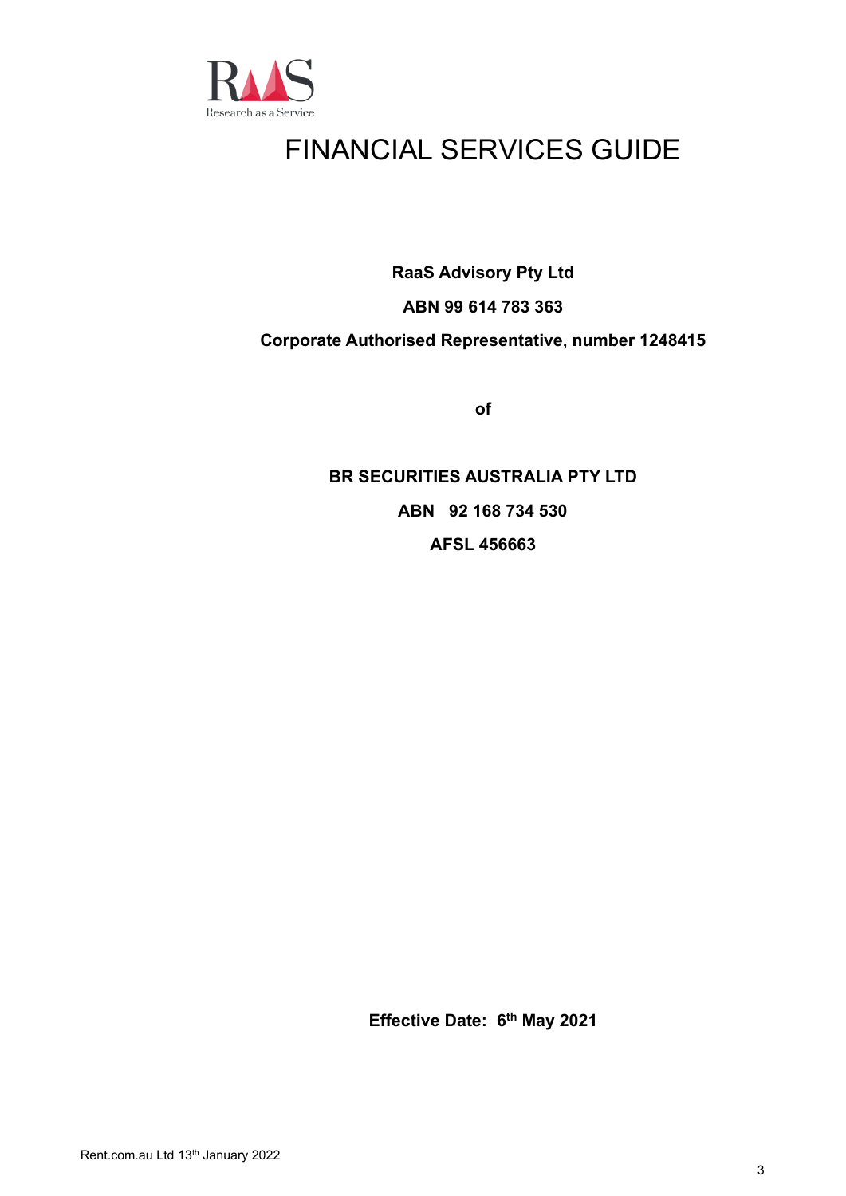

# FINANCIAL SERVICES GUIDE

**RaaS Advisory Pty Ltd**

## **ABN 99 614 783 363**

## **Corporate Authorised Representative, number 1248415**

**of**

## **BR SECURITIES AUSTRALIA PTY LTD ABN 92 168 734 530 AFSL 456663**

**Effective Date: 6 th May 2021**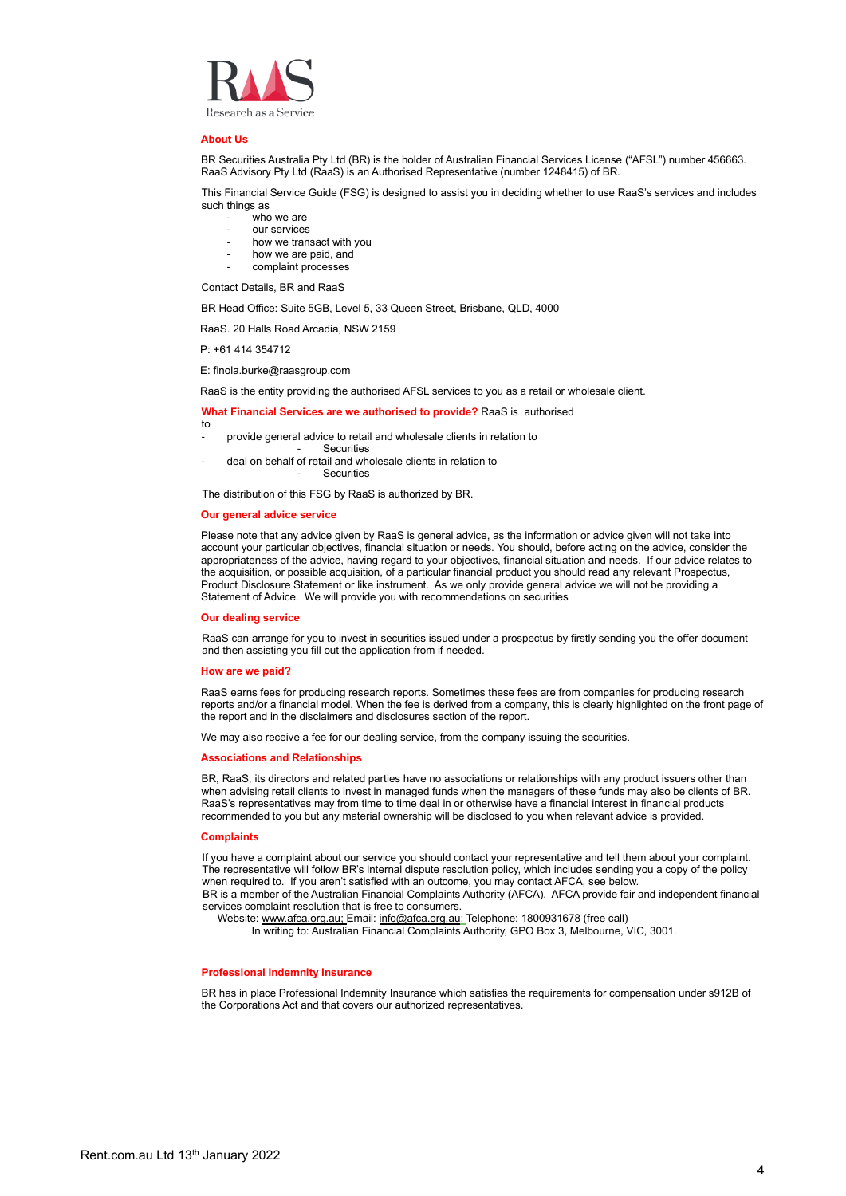

#### **About Us**

BR Securities Australia Pty Ltd (BR) is the holder of Australian Financial Services License ("AFSL") number 456663. RaaS Advisory Pty Ltd (RaaS) is an Authorised Representative (number 1248415) of BR.

This Financial Service Guide (FSG) is designed to assist you in deciding whether to use RaaS's services and includes such things as

- who we are
- our services
- how we transact with you
- how we are paid, and
- complaint processes

Contact Details, BR and RaaS

BR Head Office: Suite 5GB, Level 5, 33 Queen Street, Brisbane, QLD, 4000

RaaS. 20 Halls Road Arcadia, NSW 2159

P: +61 414 354712

E: finola.burke@raasgroup.com

RaaS is the entity providing the authorised AFSL services to you as a retail or wholesale client.

#### **What Financial Services are we authorised to provide?** RaaS is authorised

- to provide general advice to retail and wholesale clients in relation to
- **Securities**
- deal on behalf of retail and wholesale clients in relation to **Securities**

The distribution of this FSG by RaaS is authorized by BR.

#### **Our general advice service**

Please note that any advice given by RaaS is general advice, as the information or advice given will not take into account your particular objectives, financial situation or needs. You should, before acting on the advice, consider the appropriateness of the advice, having regard to your objectives, financial situation and needs. If our advice relates to the acquisition, or possible acquisition, of a particular financial product you should read any relevant Prospectus, Product Disclosure Statement or like instrument. As we only provide general advice we will not be providing a Statement of Advice. We will provide you with recommendations on securities

#### **Our dealing service**

RaaS can arrange for you to invest in securities issued under a prospectus by firstly sending you the offer document and then assisting you fill out the application from if needed.

#### **How are we paid?**

RaaS earns fees for producing research reports. Sometimes these fees are from companies for producing research reports and/or a financial model. When the fee is derived from a company, this is clearly highlighted on the front page of the report and in the disclaimers and disclosures section of the report.

We may also receive a fee for our dealing service, from the company issuing the securities.

#### **Associations and Relationships**

BR, RaaS, its directors and related parties have no associations or relationships with any product issuers other than when advising retail clients to invest in managed funds when the managers of these funds may also be clients of BR. RaaS's representatives may from time to time deal in or otherwise have a financial interest in financial products recommended to you but any material ownership will be disclosed to you when relevant advice is provided.

#### **Complaints**

If you have a complaint about our service you should contact your representative and tell them about your complaint. The representative will follow BR's internal dispute resolution policy, which includes sending you a copy of the policy when required to. If you aren't satisfied with an outcome, you may contact AFCA, see below. BR is a member of the Australian Financial Complaints Authority (AFCA). AFCA provide fair and independent financial services complaint resolution that is free to consumers.

Website[: www.afca.org.au;](http://www.afca.org.au/) Email: [info@afca.org.au;](mailto:info@afca.org.au) Telephone: 1800931678 (free call)

In writing to: Australian Financial Complaints Authority, GPO Box 3, Melbourne, VIC, 3001.

#### **Professional Indemnity Insurance**

BR has in place Professional Indemnity Insurance which satisfies the requirements for compensation under s912B of the Corporations Act and that covers our authorized representatives.